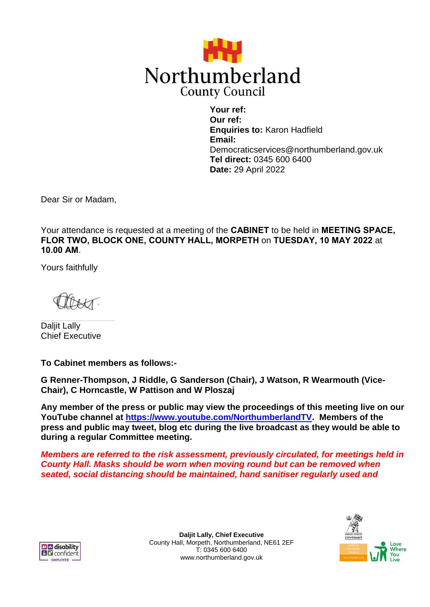

**Your ref: Our ref: Enquiries to:** Karon Hadfield **Email:** Democraticservices@northumberland.gov.uk **Tel direct:** 0345 600 6400 **Date:** 29 April 2022

Dear Sir or Madam,

Your attendance is requested at a meeting of the **CABINET** to be held in **MEETING SPACE, FLOR TWO, BLOCK ONE, COUNTY HALL, MORPETH** on **TUESDAY, 10 MAY 2022** at **10.00 AM**.

Yours faithfully

Daljit Lally Chief Executive

**To Cabinet members as follows:-**

**G Renner-Thompson, J Riddle, G Sanderson (Chair), J Watson, R Wearmouth (Vice-Chair), C Horncastle, W Pattison and W Ploszaj**

**Any member of the press or public may view the proceedings of this meeting live on our YouTube channel at [https://www.youtube.com/NorthumberlandTV.](https://www.youtube.com/NorthumberlandTV) Members of the press and public may tweet, blog etc during the live broadcast as they would be able to during a regular Committee meeting.**

*Members are referred to the risk assessment, previously circulated, for meetings held in County Hall. Masks should be worn when moving round but can be removed when seated, social distancing should be maintained, hand sanitiser regularly used and* 



**Daljit Lally, Chief Executive** County Hall, Morpeth, Northumberland, NE61 2EF T: 0345 600 6400 www.northumberland.gov.uk

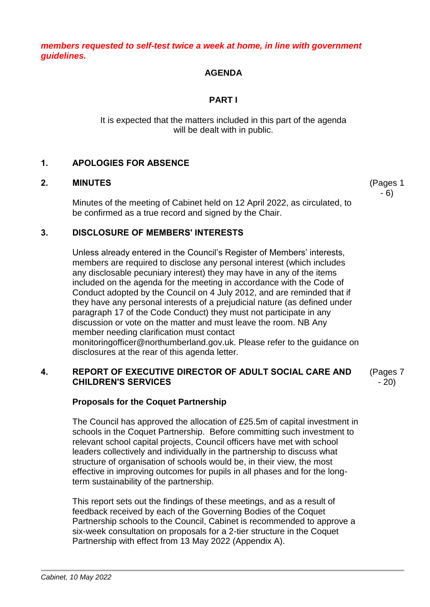*members requested to self-test twice a week at home, in line with government guidelines.*

## **AGENDA**

# **PART I**

It is expected that the matters included in this part of the agenda will be dealt with in public.

## **1. APOLOGIES FOR ABSENCE**

## **2. MINUTES**

Minutes of the meeting of Cabinet held on 12 April 2022, as circulated, to be confirmed as a true record and signed by the Chair.

## **3. DISCLOSURE OF MEMBERS' INTERESTS**

Unless already entered in the Council's Register of Members' interests, members are required to disclose any personal interest (which includes any disclosable pecuniary interest) they may have in any of the items included on the agenda for the meeting in accordance with the Code of Conduct adopted by the Council on 4 July 2012, and are reminded that if they have any personal interests of a prejudicial nature (as defined under paragraph 17 of the Code Conduct) they must not participate in any discussion or vote on the matter and must leave the room. NB Any member needing clarification must contact monitoringofficer@northumberland.gov.uk. Please refer to the guidance on disclosures at the rear of this agenda letter.

## **4. REPORT OF EXECUTIVE DIRECTOR OF ADULT SOCIAL CARE AND CHILDREN'S SERVICES**

# **Proposals for the Coquet Partnership**

The Council has approved the allocation of £25.5m of capital investment in schools in the Coquet Partnership. Before committing such investment to relevant school capital projects, Council officers have met with school leaders collectively and individually in the partnership to discuss what structure of organisation of schools would be, in their view, the most effective in improving outcomes for pupils in all phases and for the longterm sustainability of the partnership.

This report sets out the findings of these meetings, and as a result of feedback received by each of the Governing Bodies of the Coquet Partnership schools to the Council, Cabinet is recommended to approve a six-week consultation on proposals for a 2-tier structure in the Coquet Partnership with effect from 13 May 2022 (Appendix A).

(Pages 7

- 20)

(Pages 1 - 6)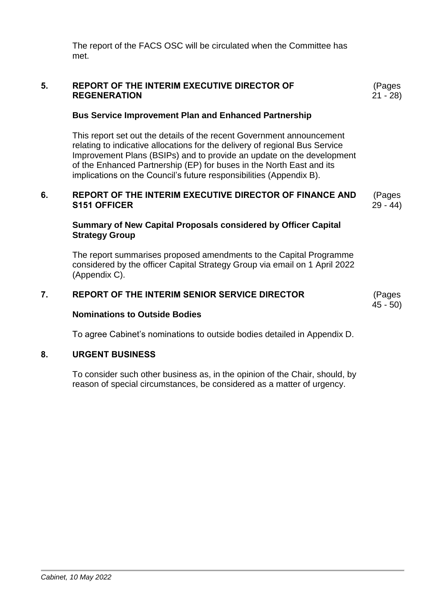The report of the FACS OSC will be circulated when the Committee has met.

## **5. REPORT OF THE INTERIM EXECUTIVE DIRECTOR OF REGENERATION**

## **Bus Service Improvement Plan and Enhanced Partnership**

This report set out the details of the recent Government announcement relating to indicative allocations for the delivery of regional Bus Service Improvement Plans (BSIPs) and to provide an update on the development of the Enhanced Partnership (EP) for buses in the North East and its implications on the Council's future responsibilities (Appendix B).

#### **6. REPORT OF THE INTERIM EXECUTIVE DIRECTOR OF FINANCE AND S151 OFFICER** (Pages 29 - 44)

### **Summary of New Capital Proposals considered by Officer Capital Strategy Group**

The report summarises proposed amendments to the Capital Programme considered by the officer Capital Strategy Group via email on 1 April 2022 (Appendix C).

### **7. REPORT OF THE INTERIM SENIOR SERVICE DIRECTOR**

45 - 50)

### **Nominations to Outside Bodies**

To agree Cabinet's nominations to outside bodies detailed in Appendix D.

### **8. URGENT BUSINESS**

To consider such other business as, in the opinion of the Chair, should, by reason of special circumstances, be considered as a matter of urgency.

(Pages 21 - 28)

(Pages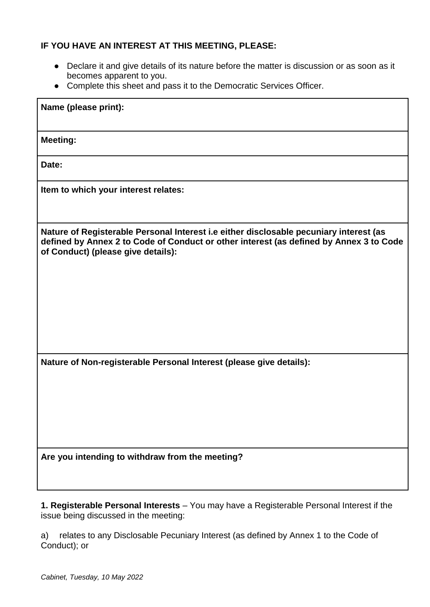# **IF YOU HAVE AN INTEREST AT THIS MEETING, PLEASE:**

- Declare it and give details of its nature before the matter is discussion or as soon as it becomes apparent to you.
- Complete this sheet and pass it to the Democratic Services Officer.

| Name (please print):                                                                                                                                                                                                   |
|------------------------------------------------------------------------------------------------------------------------------------------------------------------------------------------------------------------------|
| <b>Meeting:</b>                                                                                                                                                                                                        |
| Date:                                                                                                                                                                                                                  |
| Item to which your interest relates:                                                                                                                                                                                   |
| Nature of Registerable Personal Interest i.e either disclosable pecuniary interest (as<br>defined by Annex 2 to Code of Conduct or other interest (as defined by Annex 3 to Code<br>of Conduct) (please give details): |
| Nature of Non-registerable Personal Interest (please give details):                                                                                                                                                    |
| Are you intending to withdraw from the meeting?                                                                                                                                                                        |

**1. Registerable Personal Interests** – You may have a Registerable Personal Interest if the issue being discussed in the meeting:

a) relates to any Disclosable Pecuniary Interest (as defined by Annex 1 to the Code of Conduct); or